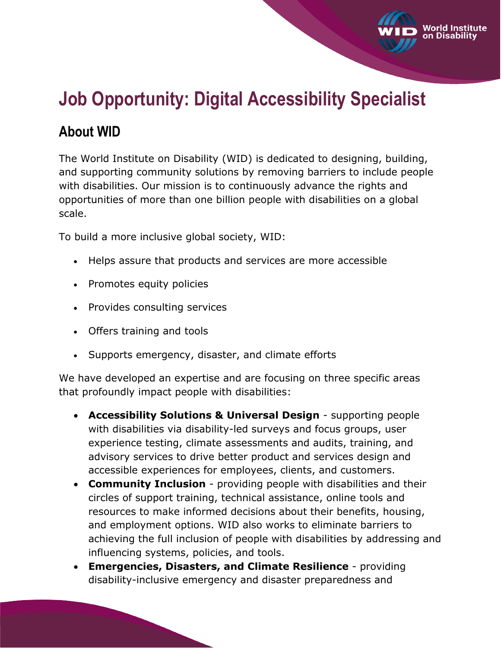# **Job Opportunity: Digital Accessibility Specialist**

Vorld Institute

# **About WID**

The World Institute on Disability (WID) is dedicated to designing, building, and supporting community solutions by removing barriers to include people with disabilities. Our mission is to continuously advance the rights and opportunities of more than one billion people with disabilities on a global scale.

To build a more inclusive global society, WID:

- Helps assure that products and services are more accessible
- Promotes equity policies
- Provides consulting services
- Offers training and tools
- Supports emergency, disaster, and climate efforts

We have developed an expertise and are focusing on three specific areas that profoundly impact people with disabilities:

- **Accessibility Solutions & Universal Design** supporting people with disabilities via disability-led surveys and focus groups, user experience testing, climate assessments and audits, training, and advisory services to drive better product and services design and accessible experiences for employees, clients, and customers.
- **Community Inclusion** providing people with disabilities and their circles of support training, technical assistance, online tools and resources to make informed decisions about their benefits, housing, and employment options. WID also works to eliminate barriers to achieving the full inclusion of people with disabilities by addressing and influencing systems, policies, and tools.
- **Emergencies, Disasters, and Climate Resilience** providing disability-inclusive emergency and disaster preparedness and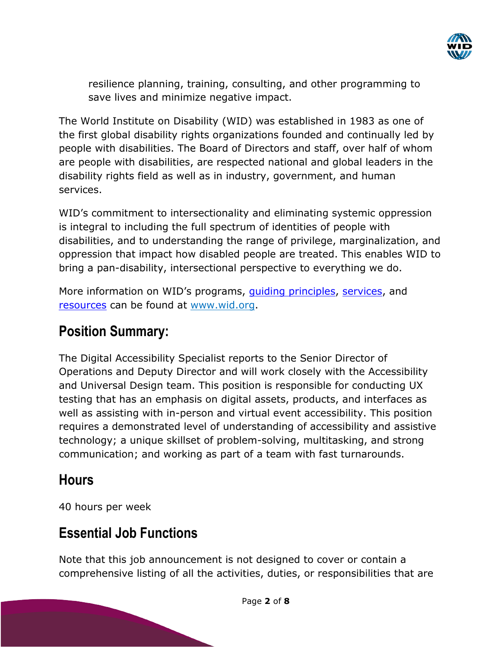

resilience planning, training, consulting, and other programming to save lives and minimize negative impact.

The World Institute on Disability (WID) was established in 1983 as one of the first global disability rights organizations founded and continually led by people with disabilities. The Board of Directors and staff, over half of whom are people with disabilities, are respected national and global leaders in the disability rights field as well as in industry, government, and human services.

WID's commitment to intersectionality and eliminating systemic oppression is integral to including the full spectrum of identities of people with disabilities, and to understanding the range of privilege, marginalization, and oppression that impact how disabled people are treated. This enables WID to bring a pan-disability, intersectional perspective to everything we do.

More information on WID's programs, quiding principles, [services,](https://wid.org/services/) and [resources](https://wid.org/resources) can be found at [www.wid.org.](http://www.wid.org/)

# **Position Summary:**

The Digital Accessibility Specialist reports to the Senior Director of Operations and Deputy Director and will work closely with the Accessibility and Universal Design team. This position is responsible for conducting UX testing that has an emphasis on digital assets, products, and interfaces as well as assisting with in-person and virtual event accessibility. This position requires a demonstrated level of understanding of accessibility and assistive technology; a unique skillset of problem-solving, multitasking, and strong communication; and working as part of a team with fast turnarounds.

### **Hours**

40 hours per week

# **Essential Job Functions**

Note that this job announcement is not designed to cover or contain a comprehensive listing of all the activities, duties, or responsibilities that are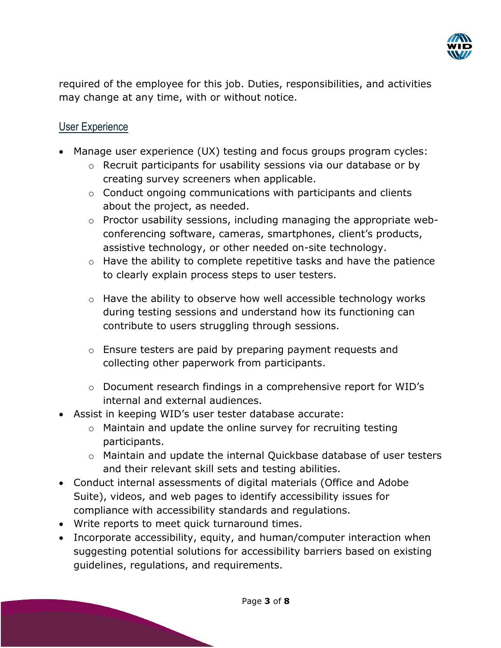

required of the employee for this job. Duties, responsibilities, and activities may change at any time, with or without notice.

#### User Experience

- Manage user experience (UX) testing and focus groups program cycles:
	- o Recruit participants for usability sessions via our database or by creating survey screeners when applicable.
	- $\circ$  Conduct ongoing communications with participants and clients about the project, as needed.
	- o Proctor usability sessions, including managing the appropriate webconferencing software, cameras, smartphones, client's products, assistive technology, or other needed on-site technology.
	- o Have the ability to complete repetitive tasks and have the patience to clearly explain process steps to user testers.
	- o Have the ability to observe how well accessible technology works during testing sessions and understand how its functioning can contribute to users struggling through sessions.
	- o Ensure testers are paid by preparing payment requests and collecting other paperwork from participants.
	- o Document research findings in a comprehensive report for WID's internal and external audiences.
- Assist in keeping WID's user tester database accurate:
	- o Maintain and update the online survey for recruiting testing participants.
	- o Maintain and update the internal Quickbase database of user testers and their relevant skill sets and testing abilities.
- Conduct internal assessments of digital materials (Office and Adobe Suite), videos, and web pages to identify accessibility issues for compliance with accessibility standards and regulations.
- Write reports to meet quick turnaround times.
- Incorporate accessibility, equity, and human/computer interaction when suggesting potential solutions for accessibility barriers based on existing guidelines, regulations, and requirements.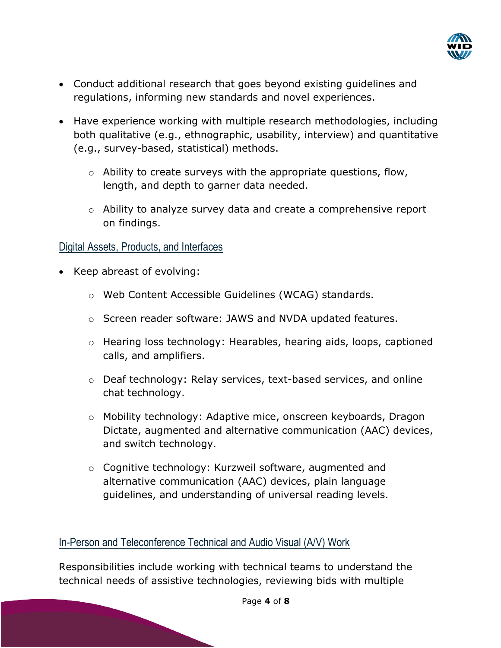

- Conduct additional research that goes beyond existing guidelines and regulations, informing new standards and novel experiences.
- Have experience working with multiple research methodologies, including both qualitative (e.g., ethnographic, usability, interview) and quantitative (e.g., survey-based, statistical) methods.
	- $\circ$  Ability to create surveys with the appropriate questions, flow, length, and depth to garner data needed.
	- o Ability to analyze survey data and create a comprehensive report on findings.

#### Digital Assets, Products, and Interfaces

- Keep abreast of evolving:
	- o Web Content Accessible Guidelines (WCAG) standards.
	- o Screen reader software: JAWS and NVDA updated features.
	- o Hearing loss technology: Hearables, hearing aids, loops, captioned calls, and amplifiers.
	- o Deaf technology: Relay services, text-based services, and online chat technology.
	- o Mobility technology: Adaptive mice, onscreen keyboards, Dragon Dictate, augmented and alternative communication (AAC) devices, and switch technology.
	- o Cognitive technology: Kurzweil software, augmented and alternative communication (AAC) devices, plain language guidelines, and understanding of universal reading levels.

### In-Person and Teleconference Technical and Audio Visual (A/V) Work

Responsibilities include working with technical teams to understand the technical needs of assistive technologies, reviewing bids with multiple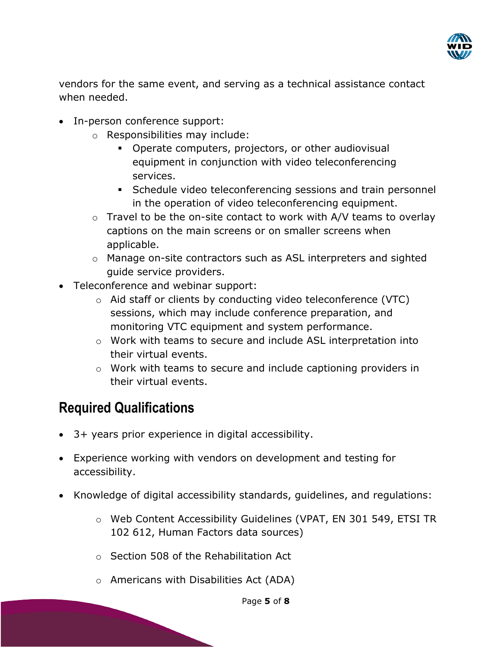

vendors for the same event, and serving as a technical assistance contact when needed.

- In-person conference support:
	- o Responsibilities may include:
		- Operate computers, projectors, or other audiovisual equipment in conjunction with video teleconferencing services.
		- Schedule video teleconferencing sessions and train personnel in the operation of video teleconferencing equipment.
	- o Travel to be the on-site contact to work with A/V teams to overlay captions on the main screens or on smaller screens when applicable.
	- o Manage on-site contractors such as ASL interpreters and sighted guide service providers.
- Teleconference and webinar support:
	- o Aid staff or clients by conducting video teleconference (VTC) sessions, which may include conference preparation, and monitoring VTC equipment and system performance.
	- o Work with teams to secure and include ASL interpretation into their virtual events.
	- o Work with teams to secure and include captioning providers in their virtual events.

# **Required Qualifications**

- 3+ years prior experience in digital accessibility.
- Experience working with vendors on development and testing for accessibility.
- Knowledge of digital accessibility standards, guidelines, and regulations:
	- o Web Content Accessibility Guidelines (VPAT, EN 301 549, ETSI TR 102 612, Human Factors data sources)
	- o Section 508 of the Rehabilitation Act
	- o Americans with Disabilities Act (ADA)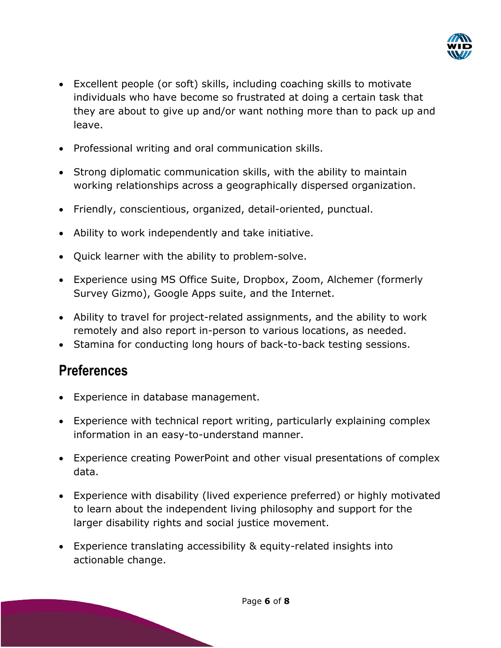

- Excellent people (or soft) skills, including coaching skills to motivate individuals who have become so frustrated at doing a certain task that they are about to give up and/or want nothing more than to pack up and leave.
- Professional writing and oral communication skills.
- Strong diplomatic communication skills, with the ability to maintain working relationships across a geographically dispersed organization.
- Friendly, conscientious, organized, detail-oriented, punctual.
- Ability to work independently and take initiative.
- Quick learner with the ability to problem-solve.
- Experience using MS Office Suite, Dropbox, Zoom, Alchemer (formerly Survey Gizmo), Google Apps suite, and the Internet.
- Ability to travel for project-related assignments, and the ability to work remotely and also report in-person to various locations, as needed.
- Stamina for conducting long hours of back-to-back testing sessions.

### **Preferences**

- Experience in database management.
- Experience with technical report writing, particularly explaining complex information in an easy-to-understand manner.
- Experience creating PowerPoint and other visual presentations of complex data.
- Experience with disability (lived experience preferred) or highly motivated to learn about the independent living philosophy and support for the larger disability rights and social justice movement.
- Experience translating accessibility & equity-related insights into actionable change.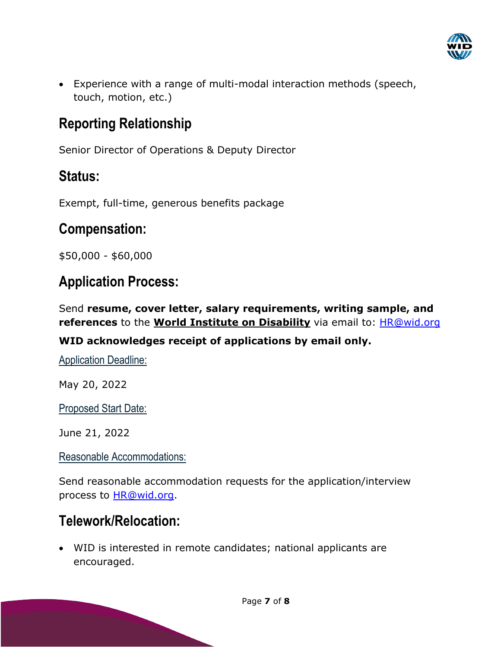

• Experience with a range of multi-modal interaction methods (speech, touch, motion, etc.)

# **Reporting Relationship**

Senior Director of Operations & Deputy Director

# **Status:**

Exempt, full-time, generous benefits package

# **Compensation:**

\$50,000 - \$60,000

# **Application Process:**

Send **resume, cover letter, salary requirements, writing sample, and references** to the **World Institute on Disability** via email to: [HR@wid.org](mailto:HR@wid.org)

### **WID acknowledges receipt of applications by email only.**

Application Deadline:

May 20, 2022

Proposed Start Date:

June 21, 2022

### Reasonable Accommodations:

Send reasonable accommodation requests for the application/interview process to **HR@wid.org**.

## **Telework/Relocation:**

• WID is interested in remote candidates; national applicants are encouraged.

Page **7** of **8**